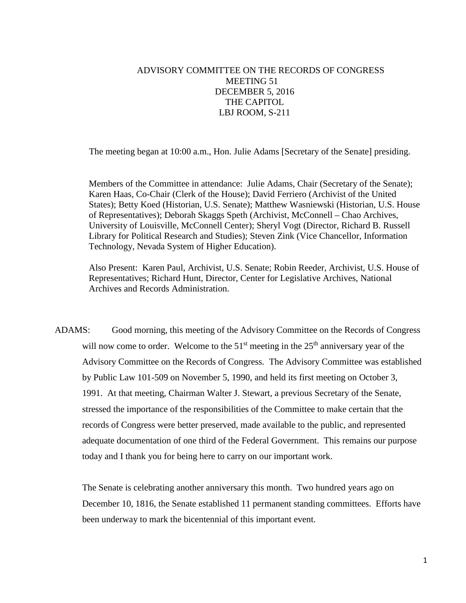## ADVISORY COMMITTEE ON THE RECORDS OF CONGRESS MEETING 51 DECEMBER 5, 2016 THE CAPITOL LBJ ROOM, S-211

The meeting began at 10:00 a.m., Hon. Julie Adams [Secretary of the Senate] presiding.

Members of the Committee in attendance: Julie Adams, Chair (Secretary of the Senate); Karen Haas, Co-Chair (Clerk of the House); David Ferriero (Archivist of the United States); Betty Koed (Historian, U.S. Senate); Matthew Wasniewski (Historian, U.S. House of Representatives); Deborah Skaggs Speth (Archivist, McConnell – Chao Archives, University of Louisville, McConnell Center); Sheryl Vogt (Director, Richard B. Russell Library for Political Research and Studies); Steven Zink (Vice Chancellor, Information Technology, Nevada System of Higher Education).

Also Present: Karen Paul, Archivist, U.S. Senate; Robin Reeder, Archivist, U.S. House of Representatives; Richard Hunt, Director, Center for Legislative Archives, National Archives and Records Administration.

ADAMS: Good morning, this meeting of the Advisory Committee on the Records of Congress will now come to order. Welcome to the  $51<sup>st</sup>$  meeting in the  $25<sup>th</sup>$  anniversary year of the Advisory Committee on the Records of Congress. The Advisory Committee was established by Public Law 101-509 on November 5, 1990, and held its first meeting on October 3, 1991. At that meeting, Chairman Walter J. Stewart, a previous Secretary of the Senate, stressed the importance of the responsibilities of the Committee to make certain that the records of Congress were better preserved, made available to the public, and represented adequate documentation of one third of the Federal Government. This remains our purpose today and I thank you for being here to carry on our important work.

The Senate is celebrating another anniversary this month. Two hundred years ago on December 10, 1816, the Senate established 11 permanent standing committees. Efforts have been underway to mark the bicentennial of this important event.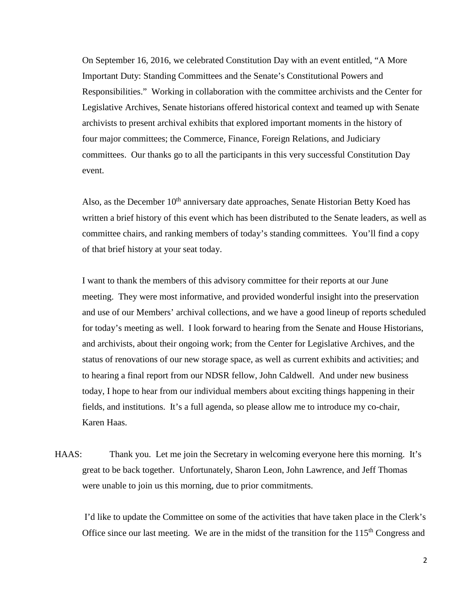On September 16, 2016, we celebrated Constitution Day with an event entitled, "A More Important Duty: Standing Committees and the Senate's Constitutional Powers and Responsibilities." Working in collaboration with the committee archivists and the Center for Legislative Archives, Senate historians offered historical context and teamed up with Senate archivists to present archival exhibits that explored important moments in the history of four major committees; the Commerce, Finance, Foreign Relations, and Judiciary committees. Our thanks go to all the participants in this very successful Constitution Day event.

Also, as the December  $10<sup>th</sup>$  anniversary date approaches, Senate Historian Betty Koed has written a brief history of this event which has been distributed to the Senate leaders, as well as committee chairs, and ranking members of today's standing committees. You'll find a copy of that brief history at your seat today.

I want to thank the members of this advisory committee for their reports at our June meeting. They were most informative, and provided wonderful insight into the preservation and use of our Members' archival collections, and we have a good lineup of reports scheduled for today's meeting as well. I look forward to hearing from the Senate and House Historians, and archivists, about their ongoing work; from the Center for Legislative Archives, and the status of renovations of our new storage space, as well as current exhibits and activities; and to hearing a final report from our NDSR fellow, John Caldwell. And under new business today, I hope to hear from our individual members about exciting things happening in their fields, and institutions. It's a full agenda, so please allow me to introduce my co-chair, Karen Haas.

HAAS: Thank you. Let me join the Secretary in welcoming everyone here this morning. It's great to be back together. Unfortunately, Sharon Leon, John Lawrence, and Jeff Thomas were unable to join us this morning, due to prior commitments.

 I'd like to update the Committee on some of the activities that have taken place in the Clerk's Office since our last meeting. We are in the midst of the transition for the  $115<sup>th</sup>$  Congress and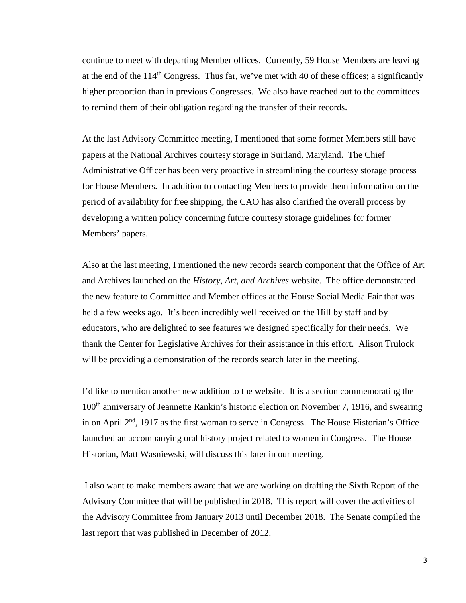continue to meet with departing Member offices. Currently, 59 House Members are leaving at the end of the  $114<sup>th</sup>$  Congress. Thus far, we've met with 40 of these offices; a significantly higher proportion than in previous Congresses. We also have reached out to the committees to remind them of their obligation regarding the transfer of their records.

 At the last Advisory Committee meeting, I mentioned that some former Members still have papers at the National Archives courtesy storage in Suitland, Maryland. The Chief Administrative Officer has been very proactive in streamlining the courtesy storage process for House Members. In addition to contacting Members to provide them information on the period of availability for free shipping, the CAO has also clarified the overall process by developing a written policy concerning future courtesy storage guidelines for former Members' papers.

Also at the last meeting, I mentioned the new records search component that the Office of Art and Archives launched on the *History, Art, and Archives* website. The office demonstrated the new feature to Committee and Member offices at the House Social Media Fair that was held a few weeks ago. It's been incredibly well received on the Hill by staff and by educators, who are delighted to see features we designed specifically for their needs. We thank the Center for Legislative Archives for their assistance in this effort. Alison Trulock will be providing a demonstration of the records search later in the meeting.

 I'd like to mention another new addition to the website. It is a section commemorating the 100th anniversary of Jeannette Rankin's historic election on November 7, 1916, and swearing in on April  $2<sup>nd</sup>$ , 1917 as the first woman to serve in Congress. The House Historian's Office launched an accompanying oral history project related to women in Congress. The House Historian, Matt Wasniewski, will discuss this later in our meeting.

 I also want to make members aware that we are working on drafting the Sixth Report of the Advisory Committee that will be published in 2018. This report will cover the activities of the Advisory Committee from January 2013 until December 2018. The Senate compiled the last report that was published in December of 2012.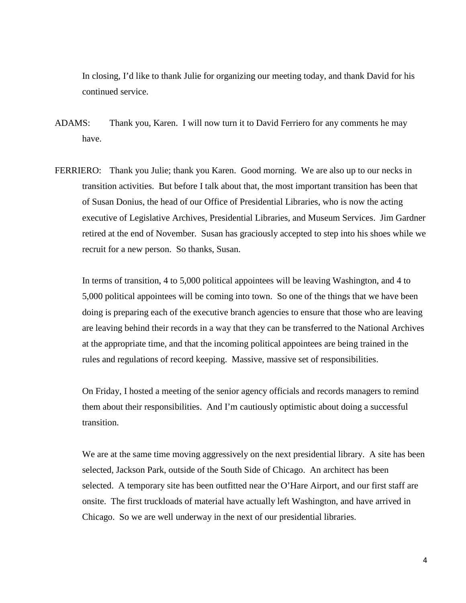In closing, I'd like to thank Julie for organizing our meeting today, and thank David for his continued service.

- ADAMS: Thank you, Karen. I will now turn it to David Ferriero for any comments he may have.
- FERRIERO: Thank you Julie; thank you Karen. Good morning. We are also up to our necks in transition activities. But before I talk about that, the most important transition has been that of Susan Donius, the head of our Office of Presidential Libraries, who is now the acting executive of Legislative Archives, Presidential Libraries, and Museum Services. Jim Gardner retired at the end of November. Susan has graciously accepted to step into his shoes while we recruit for a new person. So thanks, Susan.

 In terms of transition, 4 to 5,000 political appointees will be leaving Washington, and 4 to 5,000 political appointees will be coming into town. So one of the things that we have been doing is preparing each of the executive branch agencies to ensure that those who are leaving are leaving behind their records in a way that they can be transferred to the National Archives at the appropriate time, and that the incoming political appointees are being trained in the rules and regulations of record keeping. Massive, massive set of responsibilities.

 On Friday, I hosted a meeting of the senior agency officials and records managers to remind them about their responsibilities. And I'm cautiously optimistic about doing a successful transition.

We are at the same time moving aggressively on the next presidential library. A site has been selected, Jackson Park, outside of the South Side of Chicago. An architect has been selected. A temporary site has been outfitted near the O'Hare Airport, and our first staff are onsite. The first truckloads of material have actually left Washington, and have arrived in Chicago. So we are well underway in the next of our presidential libraries.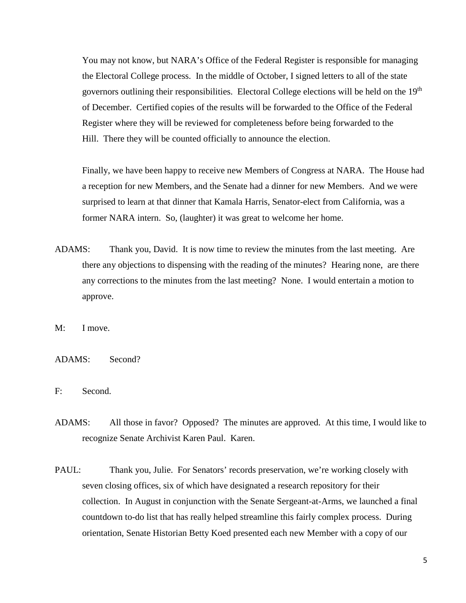You may not know, but NARA's Office of the Federal Register is responsible for managing the Electoral College process. In the middle of October, I signed letters to all of the state governors outlining their responsibilities. Electoral College elections will be held on the 19<sup>th</sup> of December. Certified copies of the results will be forwarded to the Office of the Federal Register where they will be reviewed for completeness before being forwarded to the Hill. There they will be counted officially to announce the election.

 Finally, we have been happy to receive new Members of Congress at NARA. The House had a reception for new Members, and the Senate had a dinner for new Members. And we were surprised to learn at that dinner that Kamala Harris, Senator-elect from California, was a former NARA intern. So, (laughter) it was great to welcome her home.

- ADAMS: Thank you, David. It is now time to review the minutes from the last meeting. Are there any objections to dispensing with the reading of the minutes? Hearing none, are there any corrections to the minutes from the last meeting? None. I would entertain a motion to approve.
- M: I move.
- ADAMS: Second?
- F: Second.
- ADAMS: All those in favor? Opposed? The minutes are approved. At this time, I would like to recognize Senate Archivist Karen Paul. Karen.
- PAUL: Thank you, Julie. For Senators' records preservation, we're working closely with seven closing offices, six of which have designated a research repository for their collection. In August in conjunction with the Senate Sergeant-at-Arms, we launched a final countdown to-do list that has really helped streamline this fairly complex process. During orientation, Senate Historian Betty Koed presented each new Member with a copy of our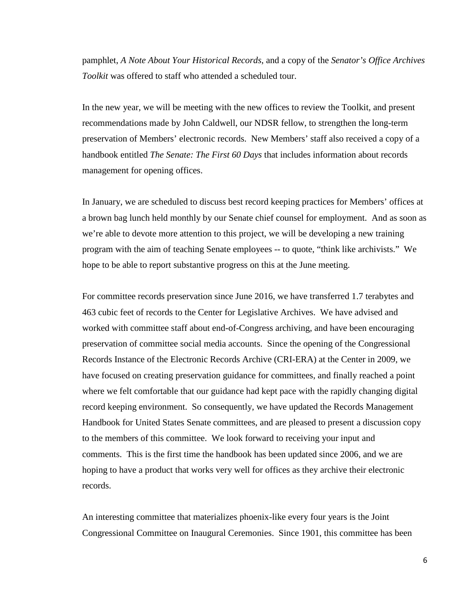pamphlet, *A Note About Your Historical Records*, and a copy of the *Senator's Office Archives Toolkit* was offered to staff who attended a scheduled tour.

 In the new year, we will be meeting with the new offices to review the Toolkit, and present recommendations made by John Caldwell, our NDSR fellow, to strengthen the long-term preservation of Members' electronic records. New Members' staff also received a copy of a handbook entitled *The Senate: The First 60 Days* that includes information about records management for opening offices.

 In January, we are scheduled to discuss best record keeping practices for Members' offices at a brown bag lunch held monthly by our Senate chief counsel for employment. And as soon as we're able to devote more attention to this project, we will be developing a new training program with the aim of teaching Senate employees -- to quote, "think like archivists." We hope to be able to report substantive progress on this at the June meeting.

 For committee records preservation since June 2016, we have transferred 1.7 terabytes and 463 cubic feet of records to the Center for Legislative Archives. We have advised and worked with committee staff about end-of-Congress archiving, and have been encouraging preservation of committee social media accounts. Since the opening of the Congressional Records Instance of the Electronic Records Archive (CRI-ERA) at the Center in 2009, we have focused on creating preservation guidance for committees, and finally reached a point where we felt comfortable that our guidance had kept pace with the rapidly changing digital record keeping environment. So consequently, we have updated the Records Management Handbook for United States Senate committees, and are pleased to present a discussion copy to the members of this committee. We look forward to receiving your input and comments. This is the first time the handbook has been updated since 2006, and we are hoping to have a product that works very well for offices as they archive their electronic records.

 An interesting committee that materializes phoenix-like every four years is the Joint Congressional Committee on Inaugural Ceremonies. Since 1901, this committee has been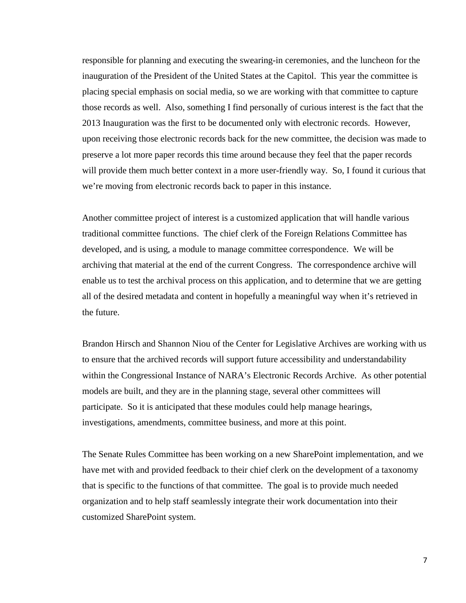responsible for planning and executing the swearing-in ceremonies, and the luncheon for the inauguration of the President of the United States at the Capitol. This year the committee is placing special emphasis on social media, so we are working with that committee to capture those records as well. Also, something I find personally of curious interest is the fact that the 2013 Inauguration was the first to be documented only with electronic records. However, upon receiving those electronic records back for the new committee, the decision was made to preserve a lot more paper records this time around because they feel that the paper records will provide them much better context in a more user-friendly way. So, I found it curious that we're moving from electronic records back to paper in this instance.

 Another committee project of interest is a customized application that will handle various traditional committee functions. The chief clerk of the Foreign Relations Committee has developed, and is using, a module to manage committee correspondence. We will be archiving that material at the end of the current Congress. The correspondence archive will enable us to test the archival process on this application, and to determine that we are getting all of the desired metadata and content in hopefully a meaningful way when it's retrieved in the future.

 Brandon Hirsch and Shannon Niou of the Center for Legislative Archives are working with us to ensure that the archived records will support future accessibility and understandability within the Congressional Instance of NARA's Electronic Records Archive. As other potential models are built, and they are in the planning stage, several other committees will participate. So it is anticipated that these modules could help manage hearings, investigations, amendments, committee business, and more at this point.

 The Senate Rules Committee has been working on a new SharePoint implementation, and we have met with and provided feedback to their chief clerk on the development of a taxonomy that is specific to the functions of that committee. The goal is to provide much needed organization and to help staff seamlessly integrate their work documentation into their customized SharePoint system.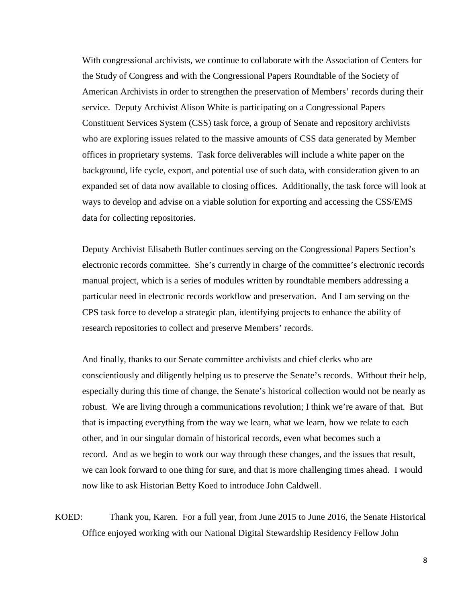With congressional archivists, we continue to collaborate with the Association of Centers for the Study of Congress and with the Congressional Papers Roundtable of the Society of American Archivists in order to strengthen the preservation of Members' records during their service. Deputy Archivist Alison White is participating on a Congressional Papers Constituent Services System (CSS) task force, a group of Senate and repository archivists who are exploring issues related to the massive amounts of CSS data generated by Member offices in proprietary systems. Task force deliverables will include a white paper on the background, life cycle, export, and potential use of such data, with consideration given to an expanded set of data now available to closing offices. Additionally, the task force will look at ways to develop and advise on a viable solution for exporting and accessing the CSS/EMS data for collecting repositories.

 Deputy Archivist Elisabeth Butler continues serving on the Congressional Papers Section's electronic records committee. She's currently in charge of the committee's electronic records manual project, which is a series of modules written by roundtable members addressing a particular need in electronic records workflow and preservation. And I am serving on the CPS task force to develop a strategic plan, identifying projects to enhance the ability of research repositories to collect and preserve Members' records.

 And finally, thanks to our Senate committee archivists and chief clerks who are conscientiously and diligently helping us to preserve the Senate's records. Without their help, especially during this time of change, the Senate's historical collection would not be nearly as robust. We are living through a communications revolution; I think we're aware of that. But that is impacting everything from the way we learn, what we learn, how we relate to each other, and in our singular domain of historical records, even what becomes such a record. And as we begin to work our way through these changes, and the issues that result, we can look forward to one thing for sure, and that is more challenging times ahead. I would now like to ask Historian Betty Koed to introduce John Caldwell.

KOED: Thank you, Karen. For a full year, from June 2015 to June 2016, the Senate Historical Office enjoyed working with our National Digital Stewardship Residency Fellow John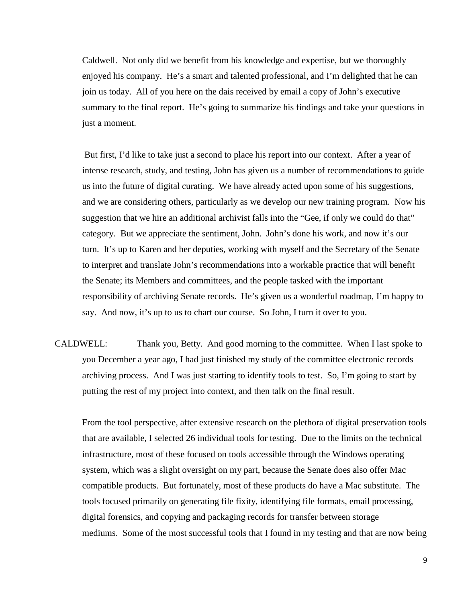Caldwell. Not only did we benefit from his knowledge and expertise, but we thoroughly enjoyed his company. He's a smart and talented professional, and I'm delighted that he can join us today. All of you here on the dais received by email a copy of John's executive summary to the final report. He's going to summarize his findings and take your questions in just a moment.

 But first, I'd like to take just a second to place his report into our context. After a year of intense research, study, and testing, John has given us a number of recommendations to guide us into the future of digital curating. We have already acted upon some of his suggestions, and we are considering others, particularly as we develop our new training program. Now his suggestion that we hire an additional archivist falls into the "Gee, if only we could do that" category. But we appreciate the sentiment, John. John's done his work, and now it's our turn. It's up to Karen and her deputies, working with myself and the Secretary of the Senate to interpret and translate John's recommendations into a workable practice that will benefit the Senate; its Members and committees, and the people tasked with the important responsibility of archiving Senate records. He's given us a wonderful roadmap, I'm happy to say. And now, it's up to us to chart our course. So John, I turn it over to you.

CALDWELL: Thank you, Betty. And good morning to the committee. When I last spoke to you December a year ago, I had just finished my study of the committee electronic records archiving process. And I was just starting to identify tools to test. So, I'm going to start by putting the rest of my project into context, and then talk on the final result.

 From the tool perspective, after extensive research on the plethora of digital preservation tools that are available, I selected 26 individual tools for testing. Due to the limits on the technical infrastructure, most of these focused on tools accessible through the Windows operating system, which was a slight oversight on my part, because the Senate does also offer Mac compatible products. But fortunately, most of these products do have a Mac substitute. The tools focused primarily on generating file fixity, identifying file formats, email processing, digital forensics, and copying and packaging records for transfer between storage mediums. Some of the most successful tools that I found in my testing and that are now being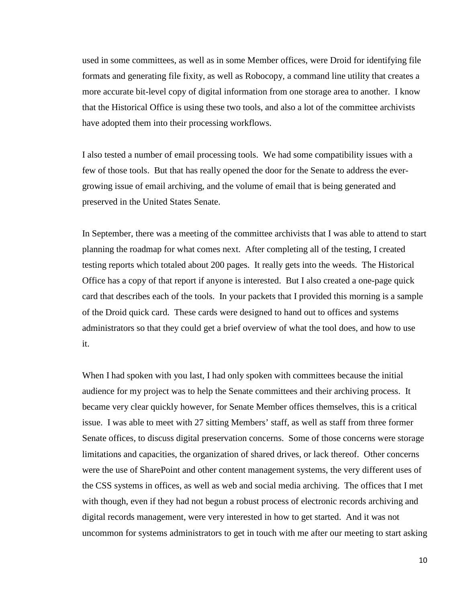used in some committees, as well as in some Member offices, were Droid for identifying file formats and generating file fixity, as well as Robocopy, a command line utility that creates a more accurate bit-level copy of digital information from one storage area to another. I know that the Historical Office is using these two tools, and also a lot of the committee archivists have adopted them into their processing workflows.

 I also tested a number of email processing tools. We had some compatibility issues with a few of those tools. But that has really opened the door for the Senate to address the evergrowing issue of email archiving, and the volume of email that is being generated and preserved in the United States Senate.

 In September, there was a meeting of the committee archivists that I was able to attend to start planning the roadmap for what comes next. After completing all of the testing, I created testing reports which totaled about 200 pages. It really gets into the weeds. The Historical Office has a copy of that report if anyone is interested. But I also created a one-page quick card that describes each of the tools. In your packets that I provided this morning is a sample of the Droid quick card. These cards were designed to hand out to offices and systems administrators so that they could get a brief overview of what the tool does, and how to use it.

When I had spoken with you last, I had only spoken with committees because the initial audience for my project was to help the Senate committees and their archiving process. It became very clear quickly however, for Senate Member offices themselves, this is a critical issue. I was able to meet with 27 sitting Members' staff, as well as staff from three former Senate offices, to discuss digital preservation concerns. Some of those concerns were storage limitations and capacities, the organization of shared drives, or lack thereof. Other concerns were the use of SharePoint and other content management systems, the very different uses of the CSS systems in offices, as well as web and social media archiving. The offices that I met with though, even if they had not begun a robust process of electronic records archiving and digital records management, were very interested in how to get started. And it was not uncommon for systems administrators to get in touch with me after our meeting to start asking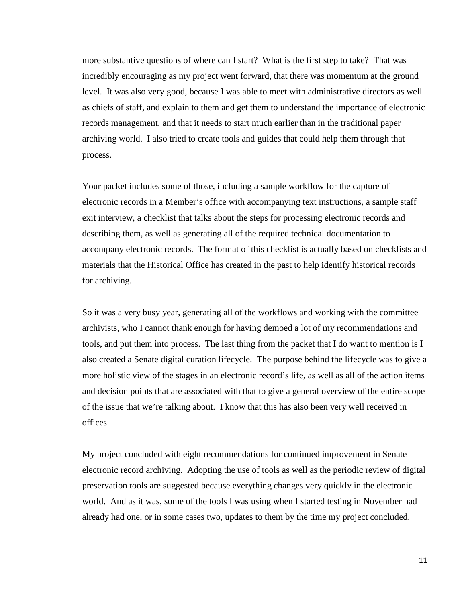more substantive questions of where can I start? What is the first step to take? That was incredibly encouraging as my project went forward, that there was momentum at the ground level. It was also very good, because I was able to meet with administrative directors as well as chiefs of staff, and explain to them and get them to understand the importance of electronic records management, and that it needs to start much earlier than in the traditional paper archiving world. I also tried to create tools and guides that could help them through that process.

 Your packet includes some of those, including a sample workflow for the capture of electronic records in a Member's office with accompanying text instructions, a sample staff exit interview, a checklist that talks about the steps for processing electronic records and describing them, as well as generating all of the required technical documentation to accompany electronic records. The format of this checklist is actually based on checklists and materials that the Historical Office has created in the past to help identify historical records for archiving.

 So it was a very busy year, generating all of the workflows and working with the committee archivists, who I cannot thank enough for having demoed a lot of my recommendations and tools, and put them into process. The last thing from the packet that I do want to mention is I also created a Senate digital curation lifecycle. The purpose behind the lifecycle was to give a more holistic view of the stages in an electronic record's life, as well as all of the action items and decision points that are associated with that to give a general overview of the entire scope of the issue that we're talking about. I know that this has also been very well received in offices.

 My project concluded with eight recommendations for continued improvement in Senate electronic record archiving. Adopting the use of tools as well as the periodic review of digital preservation tools are suggested because everything changes very quickly in the electronic world. And as it was, some of the tools I was using when I started testing in November had already had one, or in some cases two, updates to them by the time my project concluded.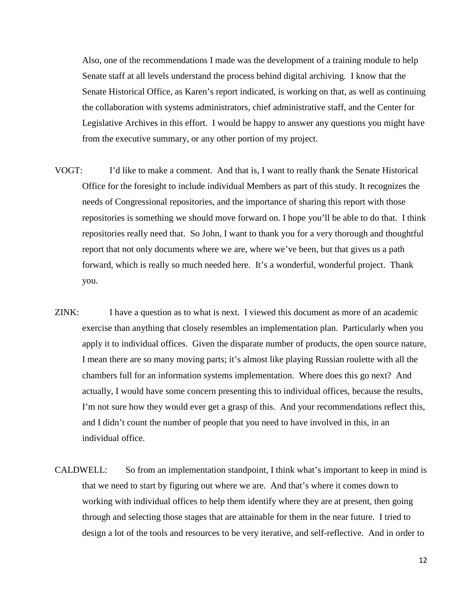Also, one of the recommendations I made was the development of a training module to help Senate staff at all levels understand the process behind digital archiving. I know that the Senate Historical Office, as Karen's report indicated, is working on that, as well as continuing the collaboration with systems administrators, chief administrative staff, and the Center for Legislative Archives in this effort. I would be happy to answer any questions you might have from the executive summary, or any other portion of my project.

- VOGT: I'd like to make a comment. And that is, I want to really thank the Senate Historical Office for the foresight to include individual Members as part of this study. It recognizes the needs of Congressional repositories, and the importance of sharing this report with those repositories is something we should move forward on. I hope you'll be able to do that. I think repositories really need that. So John, I want to thank you for a very thorough and thoughtful report that not only documents where we are, where we've been, but that gives us a path forward, which is really so much needed here. It's a wonderful, wonderful project. Thank you.
- ZINK: I have a question as to what is next. I viewed this document as more of an academic exercise than anything that closely resembles an implementation plan. Particularly when you apply it to individual offices. Given the disparate number of products, the open source nature, I mean there are so many moving parts; it's almost like playing Russian roulette with all the chambers full for an information systems implementation. Where does this go next? And actually, I would have some concern presenting this to individual offices, because the results, I'm not sure how they would ever get a grasp of this. And your recommendations reflect this, and I didn't count the number of people that you need to have involved in this, in an individual office.
- CALDWELL: So from an implementation standpoint, I think what's important to keep in mind is that we need to start by figuring out where we are. And that's where it comes down to working with individual offices to help them identify where they are at present, then going through and selecting those stages that are attainable for them in the near future. I tried to design a lot of the tools and resources to be very iterative, and self-reflective. And in order to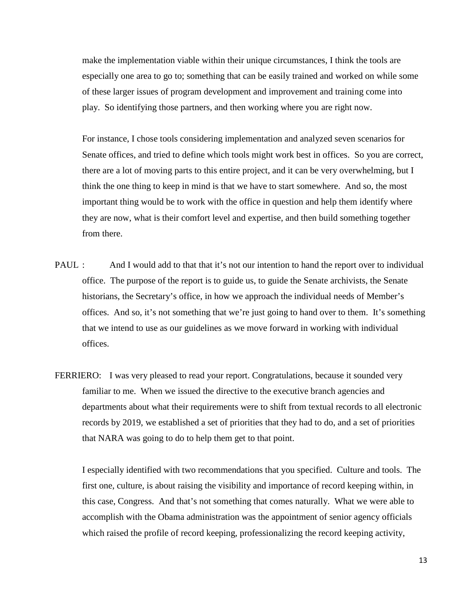make the implementation viable within their unique circumstances, I think the tools are especially one area to go to; something that can be easily trained and worked on while some of these larger issues of program development and improvement and training come into play. So identifying those partners, and then working where you are right now.

 For instance, I chose tools considering implementation and analyzed seven scenarios for Senate offices, and tried to define which tools might work best in offices. So you are correct, there are a lot of moving parts to this entire project, and it can be very overwhelming, but I think the one thing to keep in mind is that we have to start somewhere. And so, the most important thing would be to work with the office in question and help them identify where they are now, what is their comfort level and expertise, and then build something together from there.

- PAUL : And I would add to that that it's not our intention to hand the report over to individual office. The purpose of the report is to guide us, to guide the Senate archivists, the Senate historians, the Secretary's office, in how we approach the individual needs of Member's offices. And so, it's not something that we're just going to hand over to them. It's something that we intend to use as our guidelines as we move forward in working with individual offices.
- FERRIERO: I was very pleased to read your report. Congratulations, because it sounded very familiar to me. When we issued the directive to the executive branch agencies and departments about what their requirements were to shift from textual records to all electronic records by 2019, we established a set of priorities that they had to do, and a set of priorities that NARA was going to do to help them get to that point.

 I especially identified with two recommendations that you specified. Culture and tools. The first one, culture, is about raising the visibility and importance of record keeping within, in this case, Congress. And that's not something that comes naturally. What we were able to accomplish with the Obama administration was the appointment of senior agency officials which raised the profile of record keeping, professionalizing the record keeping activity,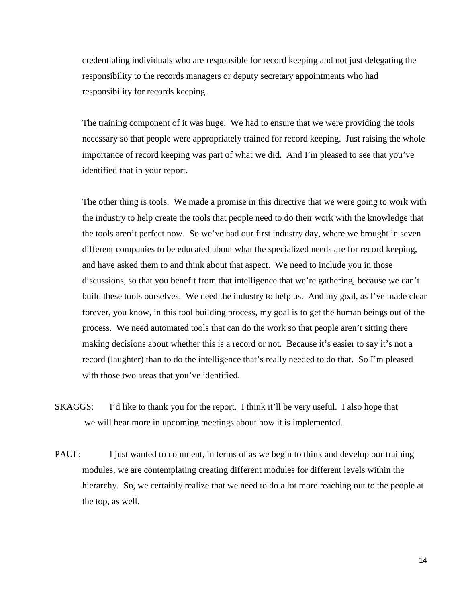credentialing individuals who are responsible for record keeping and not just delegating the responsibility to the records managers or deputy secretary appointments who had responsibility for records keeping.

 The training component of it was huge. We had to ensure that we were providing the tools necessary so that people were appropriately trained for record keeping. Just raising the whole importance of record keeping was part of what we did. And I'm pleased to see that you've identified that in your report.

 The other thing is tools. We made a promise in this directive that we were going to work with the industry to help create the tools that people need to do their work with the knowledge that the tools aren't perfect now. So we've had our first industry day, where we brought in seven different companies to be educated about what the specialized needs are for record keeping, and have asked them to and think about that aspect. We need to include you in those discussions, so that you benefit from that intelligence that we're gathering, because we can't build these tools ourselves. We need the industry to help us. And my goal, as I've made clear forever, you know, in this tool building process, my goal is to get the human beings out of the process. We need automated tools that can do the work so that people aren't sitting there making decisions about whether this is a record or not. Because it's easier to say it's not a record (laughter) than to do the intelligence that's really needed to do that. So I'm pleased with those two areas that you've identified.

- SKAGGS: I'd like to thank you for the report. I think it'll be very useful. I also hope that we will hear more in upcoming meetings about how it is implemented.
- PAUL: I just wanted to comment, in terms of as we begin to think and develop our training modules, we are contemplating creating different modules for different levels within the hierarchy. So, we certainly realize that we need to do a lot more reaching out to the people at the top, as well.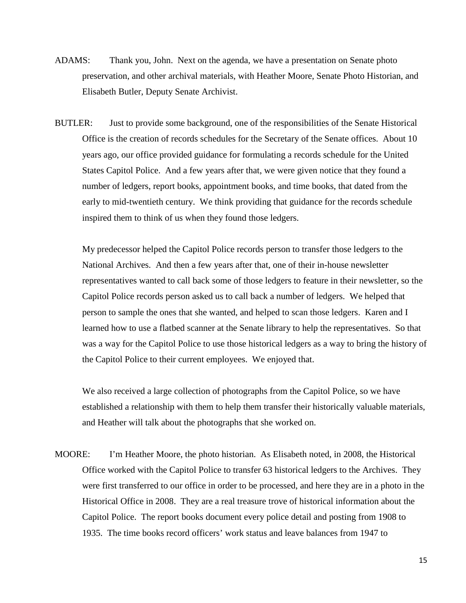- ADAMS: Thank you, John. Next on the agenda, we have a presentation on Senate photo preservation, and other archival materials, with Heather Moore, Senate Photo Historian, and Elisabeth Butler, Deputy Senate Archivist.
- BUTLER: Just to provide some background, one of the responsibilities of the Senate Historical Office is the creation of records schedules for the Secretary of the Senate offices. About 10 years ago, our office provided guidance for formulating a records schedule for the United States Capitol Police. And a few years after that, we were given notice that they found a number of ledgers, report books, appointment books, and time books, that dated from the early to mid-twentieth century. We think providing that guidance for the records schedule inspired them to think of us when they found those ledgers.

 My predecessor helped the Capitol Police records person to transfer those ledgers to the National Archives. And then a few years after that, one of their in-house newsletter representatives wanted to call back some of those ledgers to feature in their newsletter, so the Capitol Police records person asked us to call back a number of ledgers. We helped that person to sample the ones that she wanted, and helped to scan those ledgers. Karen and I learned how to use a flatbed scanner at the Senate library to help the representatives. So that was a way for the Capitol Police to use those historical ledgers as a way to bring the history of the Capitol Police to their current employees. We enjoyed that.

 We also received a large collection of photographs from the Capitol Police, so we have established a relationship with them to help them transfer their historically valuable materials, and Heather will talk about the photographs that she worked on.

MOORE: I'm Heather Moore, the photo historian. As Elisabeth noted, in 2008, the Historical Office worked with the Capitol Police to transfer 63 historical ledgers to the Archives. They were first transferred to our office in order to be processed, and here they are in a photo in the Historical Office in 2008. They are a real treasure trove of historical information about the Capitol Police. The report books document every police detail and posting from 1908 to 1935. The time books record officers' work status and leave balances from 1947 to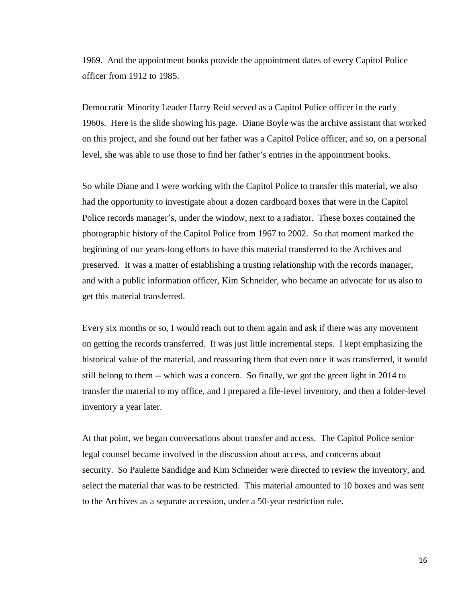1969. And the appointment books provide the appointment dates of every Capitol Police officer from 1912 to 1985.

 Democratic Minority Leader Harry Reid served as a Capitol Police officer in the early 1960s. Here is the slide showing his page. Diane Boyle was the archive assistant that worked on this project, and she found out her father was a Capitol Police officer, and so, on a personal level, she was able to use those to find her father's entries in the appointment books.

 So while Diane and I were working with the Capitol Police to transfer this material, we also had the opportunity to investigate about a dozen cardboard boxes that were in the Capitol Police records manager's, under the window, next to a radiator. These boxes contained the photographic history of the Capitol Police from 1967 to 2002. So that moment marked the beginning of our years-long efforts to have this material transferred to the Archives and preserved. It was a matter of establishing a trusting relationship with the records manager, and with a public information officer, Kim Schneider, who became an advocate for us also to get this material transferred.

 Every six months or so, I would reach out to them again and ask if there was any movement on getting the records transferred. It was just little incremental steps. I kept emphasizing the historical value of the material, and reassuring them that even once it was transferred, it would still belong to them -- which was a concern. So finally, we got the green light in 2014 to transfer the material to my office, and I prepared a file-level inventory, and then a folder-level inventory a year later.

 At that point, we began conversations about transfer and access. The Capitol Police senior legal counsel became involved in the discussion about access, and concerns about security. So Paulette Sandidge and Kim Schneider were directed to review the inventory, and select the material that was to be restricted. This material amounted to 10 boxes and was sent to the Archives as a separate accession, under a 50-year restriction rule.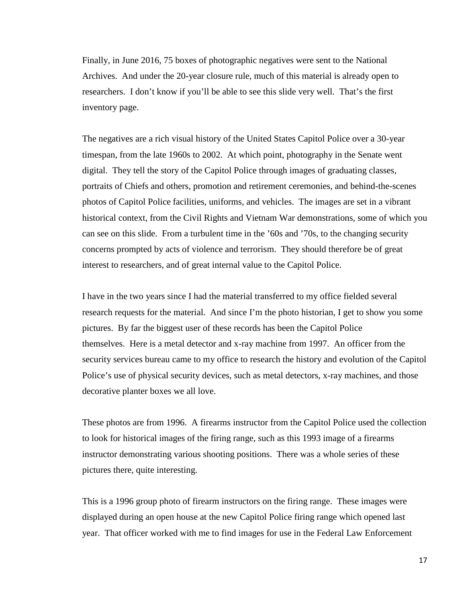Finally, in June 2016, 75 boxes of photographic negatives were sent to the National Archives. And under the 20-year closure rule, much of this material is already open to researchers. I don't know if you'll be able to see this slide very well. That's the first inventory page.

 The negatives are a rich visual history of the United States Capitol Police over a 30-year timespan, from the late 1960s to 2002. At which point, photography in the Senate went digital. They tell the story of the Capitol Police through images of graduating classes, portraits of Chiefs and others, promotion and retirement ceremonies, and behind-the-scenes photos of Capitol Police facilities, uniforms, and vehicles. The images are set in a vibrant historical context, from the Civil Rights and Vietnam War demonstrations, some of which you can see on this slide. From a turbulent time in the '60s and '70s, to the changing security concerns prompted by acts of violence and terrorism. They should therefore be of great interest to researchers, and of great internal value to the Capitol Police.

 I have in the two years since I had the material transferred to my office fielded several research requests for the material. And since I'm the photo historian, I get to show you some pictures. By far the biggest user of these records has been the Capitol Police themselves. Here is a metal detector and x-ray machine from 1997. An officer from the security services bureau came to my office to research the history and evolution of the Capitol Police's use of physical security devices, such as metal detectors, x-ray machines, and those decorative planter boxes we all love.

 These photos are from 1996. A firearms instructor from the Capitol Police used the collection to look for historical images of the firing range, such as this 1993 image of a firearms instructor demonstrating various shooting positions. There was a whole series of these pictures there, quite interesting.

 This is a 1996 group photo of firearm instructors on the firing range. These images were displayed during an open house at the new Capitol Police firing range which opened last year. That officer worked with me to find images for use in the Federal Law Enforcement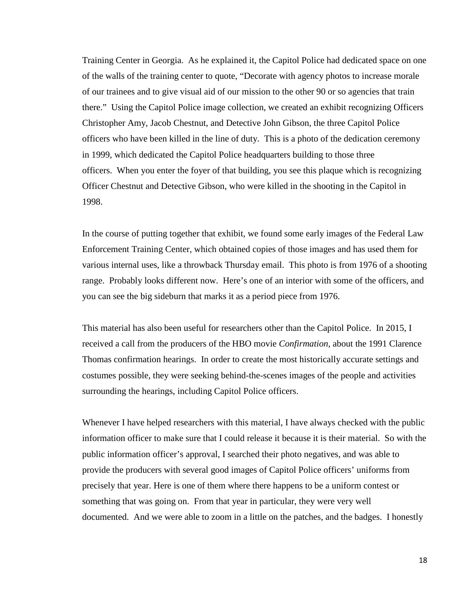Training Center in Georgia. As he explained it, the Capitol Police had dedicated space on one of the walls of the training center to quote, "Decorate with agency photos to increase morale of our trainees and to give visual aid of our mission to the other 90 or so agencies that train there." Using the Capitol Police image collection, we created an exhibit recognizing Officers Christopher Amy, Jacob Chestnut, and Detective John Gibson, the three Capitol Police officers who have been killed in the line of duty. This is a photo of the dedication ceremony in 1999, which dedicated the Capitol Police headquarters building to those three officers. When you enter the foyer of that building, you see this plaque which is recognizing Officer Chestnut and Detective Gibson, who were killed in the shooting in the Capitol in 1998.

 In the course of putting together that exhibit, we found some early images of the Federal Law Enforcement Training Center, which obtained copies of those images and has used them for various internal uses, like a throwback Thursday email. This photo is from 1976 of a shooting range. Probably looks different now. Here's one of an interior with some of the officers, and you can see the big sideburn that marks it as a period piece from 1976.

 This material has also been useful for researchers other than the Capitol Police. In 2015, I received a call from the producers of the HBO movie *Confirmation*, about the 1991 Clarence Thomas confirmation hearings. In order to create the most historically accurate settings and costumes possible, they were seeking behind-the-scenes images of the people and activities surrounding the hearings, including Capitol Police officers.

 Whenever I have helped researchers with this material, I have always checked with the public information officer to make sure that I could release it because it is their material. So with the public information officer's approval, I searched their photo negatives, and was able to provide the producers with several good images of Capitol Police officers' uniforms from precisely that year. Here is one of them where there happens to be a uniform contest or something that was going on. From that year in particular, they were very well documented. And we were able to zoom in a little on the patches, and the badges. I honestly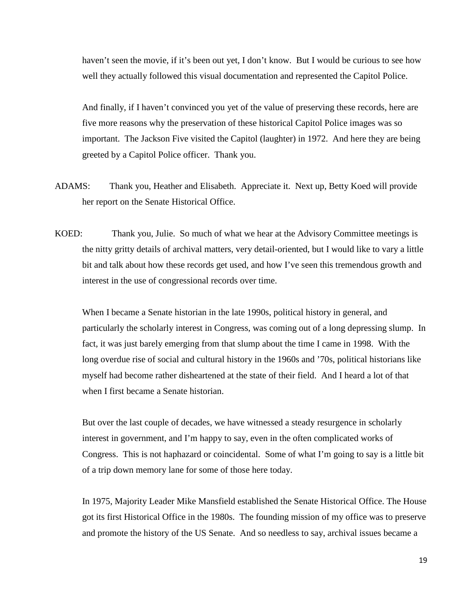haven't seen the movie, if it's been out yet, I don't know. But I would be curious to see how well they actually followed this visual documentation and represented the Capitol Police.

 And finally, if I haven't convinced you yet of the value of preserving these records, here are five more reasons why the preservation of these historical Capitol Police images was so important. The Jackson Five visited the Capitol (laughter) in 1972. And here they are being greeted by a Capitol Police officer. Thank you.

- ADAMS: Thank you, Heather and Elisabeth. Appreciate it. Next up, Betty Koed will provide her report on the Senate Historical Office.
- KOED: Thank you, Julie. So much of what we hear at the Advisory Committee meetings is the nitty gritty details of archival matters, very detail-oriented, but I would like to vary a little bit and talk about how these records get used, and how I've seen this tremendous growth and interest in the use of congressional records over time.

 When I became a Senate historian in the late 1990s, political history in general, and particularly the scholarly interest in Congress, was coming out of a long depressing slump. In fact, it was just barely emerging from that slump about the time I came in 1998. With the long overdue rise of social and cultural history in the 1960s and '70s, political historians like myself had become rather disheartened at the state of their field. And I heard a lot of that when I first became a Senate historian.

 But over the last couple of decades, we have witnessed a steady resurgence in scholarly interest in government, and I'm happy to say, even in the often complicated works of Congress. This is not haphazard or coincidental. Some of what I'm going to say is a little bit of a trip down memory lane for some of those here today.

 In 1975, Majority Leader Mike Mansfield established the Senate Historical Office. The House got its first Historical Office in the 1980s. The founding mission of my office was to preserve and promote the history of the US Senate. And so needless to say, archival issues became a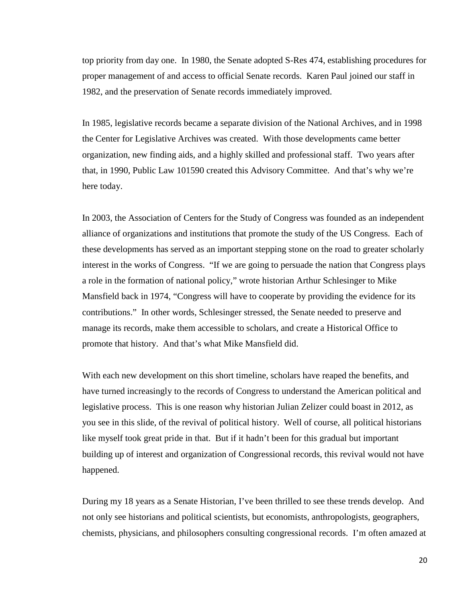top priority from day one. In 1980, the Senate adopted S-Res 474, establishing procedures for proper management of and access to official Senate records. Karen Paul joined our staff in 1982, and the preservation of Senate records immediately improved.

 In 1985, legislative records became a separate division of the National Archives, and in 1998 the Center for Legislative Archives was created. With those developments came better organization, new finding aids, and a highly skilled and professional staff. Two years after that, in 1990, Public Law 101590 created this Advisory Committee. And that's why we're here today.

 In 2003, the Association of Centers for the Study of Congress was founded as an independent alliance of organizations and institutions that promote the study of the US Congress. Each of these developments has served as an important stepping stone on the road to greater scholarly interest in the works of Congress. "If we are going to persuade the nation that Congress plays a role in the formation of national policy," wrote historian Arthur Schlesinger to Mike Mansfield back in 1974, "Congress will have to cooperate by providing the evidence for its contributions." In other words, Schlesinger stressed, the Senate needed to preserve and manage its records, make them accessible to scholars, and create a Historical Office to promote that history. And that's what Mike Mansfield did.

 With each new development on this short timeline, scholars have reaped the benefits, and have turned increasingly to the records of Congress to understand the American political and legislative process. This is one reason why historian Julian Zelizer could boast in 2012, as you see in this slide, of the revival of political history. Well of course, all political historians like myself took great pride in that. But if it hadn't been for this gradual but important building up of interest and organization of Congressional records, this revival would not have happened.

 During my 18 years as a Senate Historian, I've been thrilled to see these trends develop. And not only see historians and political scientists, but economists, anthropologists, geographers, chemists, physicians, and philosophers consulting congressional records. I'm often amazed at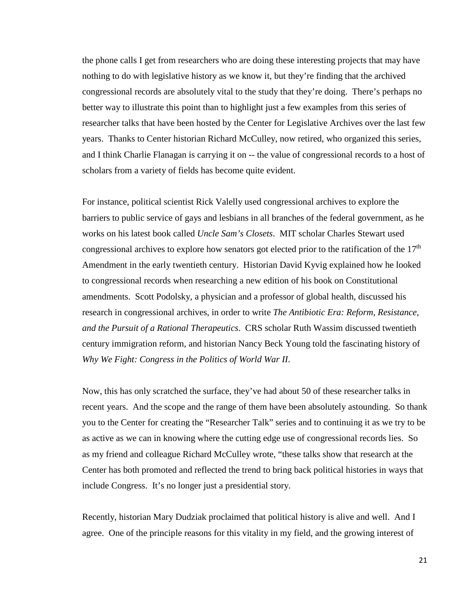the phone calls I get from researchers who are doing these interesting projects that may have nothing to do with legislative history as we know it, but they're finding that the archived congressional records are absolutely vital to the study that they're doing. There's perhaps no better way to illustrate this point than to highlight just a few examples from this series of researcher talks that have been hosted by the Center for Legislative Archives over the last few years. Thanks to Center historian Richard McCulley, now retired, who organized this series, and I think Charlie Flanagan is carrying it on -- the value of congressional records to a host of scholars from a variety of fields has become quite evident.

 For instance, political scientist Rick Valelly used congressional archives to explore the barriers to public service of gays and lesbians in all branches of the federal government, as he works on his latest book called *Uncle Sam's Closets*. MIT scholar Charles Stewart used congressional archives to explore how senators got elected prior to the ratification of the  $17<sup>th</sup>$ Amendment in the early twentieth century. Historian David Kyvig explained how he looked to congressional records when researching a new edition of his book on Constitutional amendments. Scott Podolsky, a physician and a professor of global health, discussed his research in congressional archives, in order to write *The Antibiotic Era: Reform, Resistance, and the Pursuit of a Rational Therapeutics*. CRS scholar Ruth Wassim discussed twentieth century immigration reform, and historian Nancy Beck Young told the fascinating history of *Why We Fight: Congress in the Politics of World War II*.

 Now, this has only scratched the surface, they've had about 50 of these researcher talks in recent years. And the scope and the range of them have been absolutely astounding. So thank you to the Center for creating the "Researcher Talk" series and to continuing it as we try to be as active as we can in knowing where the cutting edge use of congressional records lies. So as my friend and colleague Richard McCulley wrote, "these talks show that research at the Center has both promoted and reflected the trend to bring back political histories in ways that include Congress. It's no longer just a presidential story.

 Recently, historian Mary Dudziak proclaimed that political history is alive and well. And I agree. One of the principle reasons for this vitality in my field, and the growing interest of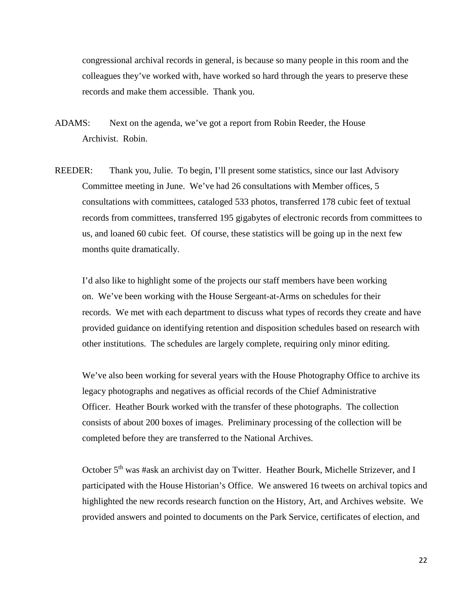congressional archival records in general, is because so many people in this room and the colleagues they've worked with, have worked so hard through the years to preserve these records and make them accessible. Thank you.

- ADAMS: Next on the agenda, we've got a report from Robin Reeder, the House Archivist. Robin.
- REEDER: Thank you, Julie. To begin, I'll present some statistics, since our last Advisory Committee meeting in June. We've had 26 consultations with Member offices, 5 consultations with committees, cataloged 533 photos, transferred 178 cubic feet of textual records from committees, transferred 195 gigabytes of electronic records from committees to us, and loaned 60 cubic feet. Of course, these statistics will be going up in the next few months quite dramatically.

 I'd also like to highlight some of the projects our staff members have been working on. We've been working with the House Sergeant-at-Arms on schedules for their records. We met with each department to discuss what types of records they create and have provided guidance on identifying retention and disposition schedules based on research with other institutions. The schedules are largely complete, requiring only minor editing.

 We've also been working for several years with the House Photography Office to archive its legacy photographs and negatives as official records of the Chief Administrative Officer. Heather Bourk worked with the transfer of these photographs. The collection consists of about 200 boxes of images. Preliminary processing of the collection will be completed before they are transferred to the National Archives.

October 5<sup>th</sup> was #ask an archivist day on Twitter. Heather Bourk, Michelle Strizever, and I participated with the House Historian's Office. We answered 16 tweets on archival topics and highlighted the new records research function on the History, Art, and Archives website. We provided answers and pointed to documents on the Park Service, certificates of election, and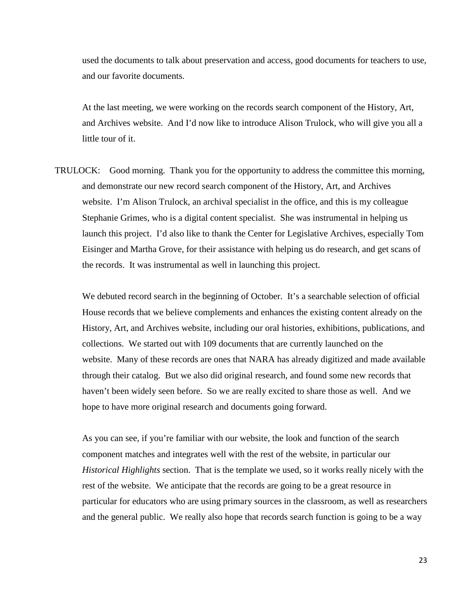used the documents to talk about preservation and access, good documents for teachers to use, and our favorite documents.

 At the last meeting, we were working on the records search component of the History, Art, and Archives website. And I'd now like to introduce Alison Trulock, who will give you all a little tour of it.

TRULOCK: Good morning. Thank you for the opportunity to address the committee this morning, and demonstrate our new record search component of the History, Art, and Archives website. I'm Alison Trulock, an archival specialist in the office, and this is my colleague Stephanie Grimes, who is a digital content specialist. She was instrumental in helping us launch this project. I'd also like to thank the Center for Legislative Archives, especially Tom Eisinger and Martha Grove, for their assistance with helping us do research, and get scans of the records. It was instrumental as well in launching this project.

We debuted record search in the beginning of October. It's a searchable selection of official House records that we believe complements and enhances the existing content already on the History, Art, and Archives website, including our oral histories, exhibitions, publications, and collections. We started out with 109 documents that are currently launched on the website. Many of these records are ones that NARA has already digitized and made available through their catalog. But we also did original research, and found some new records that haven't been widely seen before. So we are really excited to share those as well. And we hope to have more original research and documents going forward.

 As you can see, if you're familiar with our website, the look and function of the search component matches and integrates well with the rest of the website, in particular our *Historical Highlights* section. That is the template we used, so it works really nicely with the rest of the website. We anticipate that the records are going to be a great resource in particular for educators who are using primary sources in the classroom, as well as researchers and the general public. We really also hope that records search function is going to be a way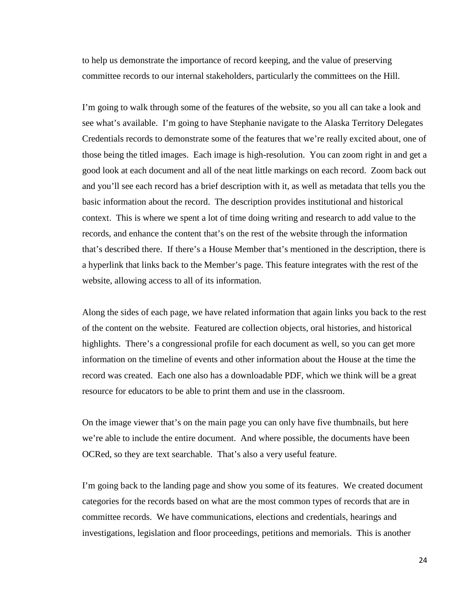to help us demonstrate the importance of record keeping, and the value of preserving committee records to our internal stakeholders, particularly the committees on the Hill.

 I'm going to walk through some of the features of the website, so you all can take a look and see what's available. I'm going to have Stephanie navigate to the Alaska Territory Delegates Credentials records to demonstrate some of the features that we're really excited about, one of those being the titled images. Each image is high-resolution. You can zoom right in and get a good look at each document and all of the neat little markings on each record. Zoom back out and you'll see each record has a brief description with it, as well as metadata that tells you the basic information about the record. The description provides institutional and historical context. This is where we spent a lot of time doing writing and research to add value to the records, and enhance the content that's on the rest of the website through the information that's described there. If there's a House Member that's mentioned in the description, there is a hyperlink that links back to the Member's page. This feature integrates with the rest of the website, allowing access to all of its information.

 Along the sides of each page, we have related information that again links you back to the rest of the content on the website. Featured are collection objects, oral histories, and historical highlights. There's a congressional profile for each document as well, so you can get more information on the timeline of events and other information about the House at the time the record was created. Each one also has a downloadable PDF, which we think will be a great resource for educators to be able to print them and use in the classroom.

 On the image viewer that's on the main page you can only have five thumbnails, but here we're able to include the entire document. And where possible, the documents have been OCRed, so they are text searchable. That's also a very useful feature.

 I'm going back to the landing page and show you some of its features. We created document categories for the records based on what are the most common types of records that are in committee records. We have communications, elections and credentials, hearings and investigations, legislation and floor proceedings, petitions and memorials. This is another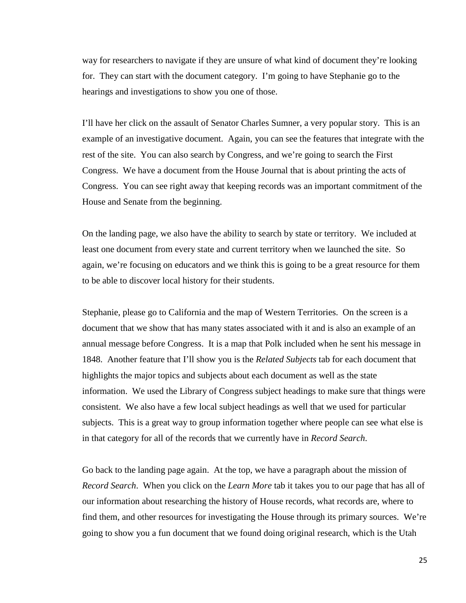way for researchers to navigate if they are unsure of what kind of document they're looking for. They can start with the document category. I'm going to have Stephanie go to the hearings and investigations to show you one of those.

 I'll have her click on the assault of Senator Charles Sumner, a very popular story. This is an example of an investigative document. Again, you can see the features that integrate with the rest of the site. You can also search by Congress, and we're going to search the First Congress. We have a document from the House Journal that is about printing the acts of Congress. You can see right away that keeping records was an important commitment of the House and Senate from the beginning.

 On the landing page, we also have the ability to search by state or territory. We included at least one document from every state and current territory when we launched the site. So again, we're focusing on educators and we think this is going to be a great resource for them to be able to discover local history for their students.

 Stephanie, please go to California and the map of Western Territories. On the screen is a document that we show that has many states associated with it and is also an example of an annual message before Congress. It is a map that Polk included when he sent his message in 1848. Another feature that I'll show you is the *Related Subjects* tab for each document that highlights the major topics and subjects about each document as well as the state information. We used the Library of Congress subject headings to make sure that things were consistent. We also have a few local subject headings as well that we used for particular subjects. This is a great way to group information together where people can see what else is in that category for all of the records that we currently have in *Record Search*.

 Go back to the landing page again. At the top, we have a paragraph about the mission of *Record Search*. When you click on the *Learn More* tab it takes you to our page that has all of our information about researching the history of House records, what records are, where to find them, and other resources for investigating the House through its primary sources. We're going to show you a fun document that we found doing original research, which is the Utah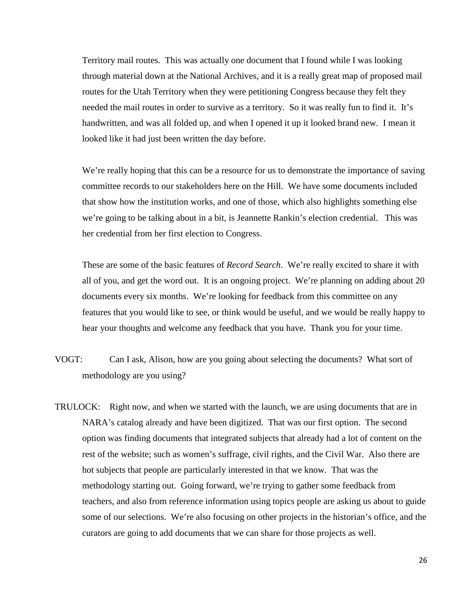Territory mail routes. This was actually one document that I found while I was looking through material down at the National Archives, and it is a really great map of proposed mail routes for the Utah Territory when they were petitioning Congress because they felt they needed the mail routes in order to survive as a territory. So it was really fun to find it. It's handwritten, and was all folded up, and when I opened it up it looked brand new. I mean it looked like it had just been written the day before.

We're really hoping that this can be a resource for us to demonstrate the importance of saving committee records to our stakeholders here on the Hill. We have some documents included that show how the institution works, and one of those, which also highlights something else we're going to be talking about in a bit, is Jeannette Rankin's election credential. This was her credential from her first election to Congress.

 These are some of the basic features of *Record Search*. We're really excited to share it with all of you, and get the word out. It is an ongoing project. We're planning on adding about 20 documents every six months. We're looking for feedback from this committee on any features that you would like to see, or think would be useful, and we would be really happy to hear your thoughts and welcome any feedback that you have. Thank you for your time.

- VOGT: Can I ask, Alison, how are you going about selecting the documents? What sort of methodology are you using?
- TRULOCK: Right now, and when we started with the launch, we are using documents that are in NARA's catalog already and have been digitized. That was our first option. The second option was finding documents that integrated subjects that already had a lot of content on the rest of the website; such as women's suffrage, civil rights, and the Civil War. Also there are hot subjects that people are particularly interested in that we know. That was the methodology starting out. Going forward, we're trying to gather some feedback from teachers, and also from reference information using topics people are asking us about to guide some of our selections. We're also focusing on other projects in the historian's office, and the curators are going to add documents that we can share for those projects as well.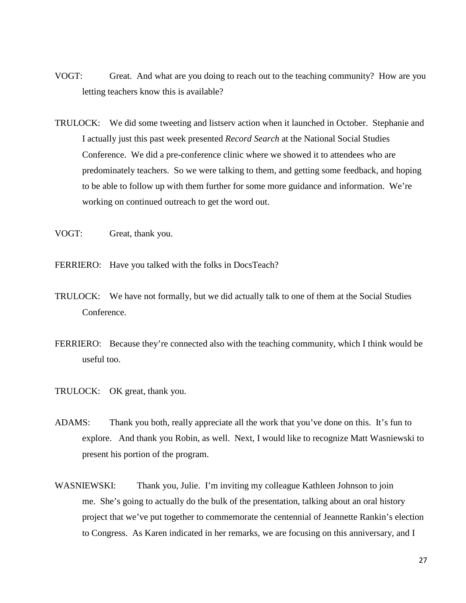- VOGT: Great. And what are you doing to reach out to the teaching community? How are you letting teachers know this is available?
- TRULOCK: We did some tweeting and listserv action when it launched in October. Stephanie and I actually just this past week presented *Record Search* at the National Social Studies Conference. We did a pre-conference clinic where we showed it to attendees who are predominately teachers. So we were talking to them, and getting some feedback, and hoping to be able to follow up with them further for some more guidance and information. We're working on continued outreach to get the word out.
- VOGT: Great, thank you.
- FERRIERO: Have you talked with the folks in DocsTeach?
- TRULOCK: We have not formally, but we did actually talk to one of them at the Social Studies Conference.
- FERRIERO: Because they're connected also with the teaching community, which I think would be useful too.
- TRULOCK: OK great, thank you.
- ADAMS: Thank you both, really appreciate all the work that you've done on this. It's fun to explore. And thank you Robin, as well. Next, I would like to recognize Matt Wasniewski to present his portion of the program.
- WASNIEWSKI: Thank you, Julie. I'm inviting my colleague Kathleen Johnson to join me. She's going to actually do the bulk of the presentation, talking about an oral history project that we've put together to commemorate the centennial of Jeannette Rankin's election to Congress. As Karen indicated in her remarks, we are focusing on this anniversary, and I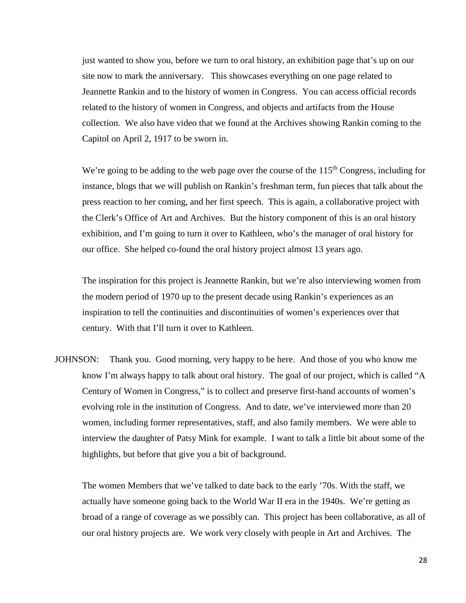just wanted to show you, before we turn to oral history, an exhibition page that's up on our site now to mark the anniversary. This showcases everything on one page related to Jeannette Rankin and to the history of women in Congress. You can access official records related to the history of women in Congress, and objects and artifacts from the House collection. We also have video that we found at the Archives showing Rankin coming to the Capitol on April 2, 1917 to be sworn in.

We're going to be adding to the web page over the course of the  $115<sup>th</sup>$  Congress, including for instance, blogs that we will publish on Rankin's freshman term, fun pieces that talk about the press reaction to her coming, and her first speech. This is again, a collaborative project with the Clerk's Office of Art and Archives. But the history component of this is an oral history exhibition, and I'm going to turn it over to Kathleen, who's the manager of oral history for our office. She helped co-found the oral history project almost 13 years ago.

 The inspiration for this project is Jeannette Rankin, but we're also interviewing women from the modern period of 1970 up to the present decade using Rankin's experiences as an inspiration to tell the continuities and discontinuities of women's experiences over that century. With that I'll turn it over to Kathleen.

JOHNSON: Thank you. Good morning, very happy to be here. And those of you who know me know I'm always happy to talk about oral history. The goal of our project, which is called "A Century of Women in Congress," is to collect and preserve first-hand accounts of women's evolving role in the institution of Congress. And to date, we've interviewed more than 20 women, including former representatives, staff, and also family members. We were able to interview the daughter of Patsy Mink for example. I want to talk a little bit about some of the highlights, but before that give you a bit of background.

 The women Members that we've talked to date back to the early '70s. With the staff, we actually have someone going back to the World War II era in the 1940s. We're getting as broad of a range of coverage as we possibly can. This project has been collaborative, as all of our oral history projects are. We work very closely with people in Art and Archives. The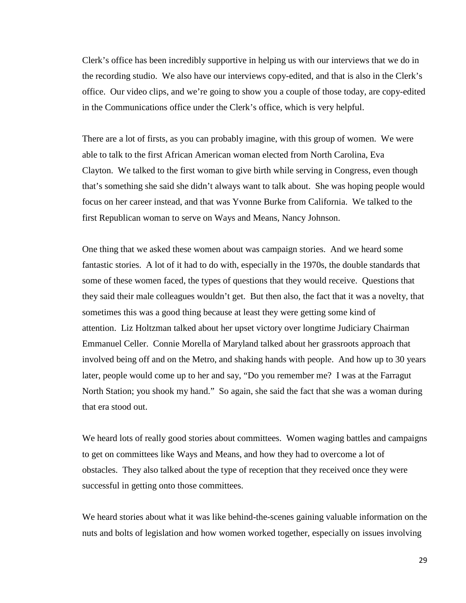Clerk's office has been incredibly supportive in helping us with our interviews that we do in the recording studio. We also have our interviews copy-edited, and that is also in the Clerk's office. Our video clips, and we're going to show you a couple of those today, are copy-edited in the Communications office under the Clerk's office, which is very helpful.

 There are a lot of firsts, as you can probably imagine, with this group of women. We were able to talk to the first African American woman elected from North Carolina, Eva Clayton. We talked to the first woman to give birth while serving in Congress, even though that's something she said she didn't always want to talk about. She was hoping people would focus on her career instead, and that was Yvonne Burke from California. We talked to the first Republican woman to serve on Ways and Means, Nancy Johnson.

 One thing that we asked these women about was campaign stories. And we heard some fantastic stories. A lot of it had to do with, especially in the 1970s, the double standards that some of these women faced, the types of questions that they would receive. Questions that they said their male colleagues wouldn't get. But then also, the fact that it was a novelty, that sometimes this was a good thing because at least they were getting some kind of attention. Liz Holtzman talked about her upset victory over longtime Judiciary Chairman Emmanuel Celler. Connie Morella of Maryland talked about her grassroots approach that involved being off and on the Metro, and shaking hands with people. And how up to 30 years later, people would come up to her and say, "Do you remember me? I was at the Farragut North Station; you shook my hand." So again, she said the fact that she was a woman during that era stood out.

We heard lots of really good stories about committees. Women waging battles and campaigns to get on committees like Ways and Means, and how they had to overcome a lot of obstacles. They also talked about the type of reception that they received once they were successful in getting onto those committees.

 We heard stories about what it was like behind-the-scenes gaining valuable information on the nuts and bolts of legislation and how women worked together, especially on issues involving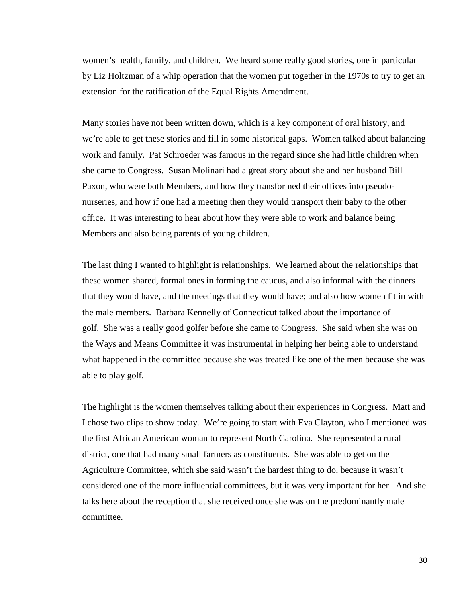women's health, family, and children. We heard some really good stories, one in particular by Liz Holtzman of a whip operation that the women put together in the 1970s to try to get an extension for the ratification of the Equal Rights Amendment.

 Many stories have not been written down, which is a key component of oral history, and we're able to get these stories and fill in some historical gaps. Women talked about balancing work and family. Pat Schroeder was famous in the regard since she had little children when she came to Congress. Susan Molinari had a great story about she and her husband Bill Paxon, who were both Members, and how they transformed their offices into pseudonurseries, and how if one had a meeting then they would transport their baby to the other office. It was interesting to hear about how they were able to work and balance being Members and also being parents of young children.

 The last thing I wanted to highlight is relationships. We learned about the relationships that these women shared, formal ones in forming the caucus, and also informal with the dinners that they would have, and the meetings that they would have; and also how women fit in with the male members. Barbara Kennelly of Connecticut talked about the importance of golf. She was a really good golfer before she came to Congress. She said when she was on the Ways and Means Committee it was instrumental in helping her being able to understand what happened in the committee because she was treated like one of the men because she was able to play golf.

 The highlight is the women themselves talking about their experiences in Congress. Matt and I chose two clips to show today. We're going to start with Eva Clayton, who I mentioned was the first African American woman to represent North Carolina. She represented a rural district, one that had many small farmers as constituents. She was able to get on the Agriculture Committee, which she said wasn't the hardest thing to do, because it wasn't considered one of the more influential committees, but it was very important for her. And she talks here about the reception that she received once she was on the predominantly male committee.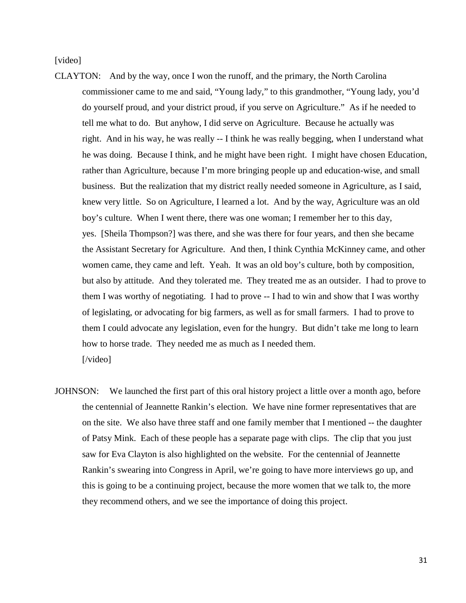[video]

- CLAYTON: And by the way, once I won the runoff, and the primary, the North Carolina commissioner came to me and said, "Young lady," to this grandmother, "Young lady, you'd do yourself proud, and your district proud, if you serve on Agriculture." As if he needed to tell me what to do. But anyhow, I did serve on Agriculture. Because he actually was right. And in his way, he was really -- I think he was really begging, when I understand what he was doing. Because I think, and he might have been right. I might have chosen Education, rather than Agriculture, because I'm more bringing people up and education-wise, and small business. But the realization that my district really needed someone in Agriculture, as I said, knew very little. So on Agriculture, I learned a lot. And by the way, Agriculture was an old boy's culture. When I went there, there was one woman; I remember her to this day, yes. [Sheila Thompson?] was there, and she was there for four years, and then she became the Assistant Secretary for Agriculture. And then, I think Cynthia McKinney came, and other women came, they came and left. Yeah. It was an old boy's culture, both by composition, but also by attitude. And they tolerated me. They treated me as an outsider. I had to prove to them I was worthy of negotiating. I had to prove -- I had to win and show that I was worthy of legislating, or advocating for big farmers, as well as for small farmers. I had to prove to them I could advocate any legislation, even for the hungry. But didn't take me long to learn how to horse trade. They needed me as much as I needed them. [/video]
- JOHNSON: We launched the first part of this oral history project a little over a month ago, before the centennial of Jeannette Rankin's election. We have nine former representatives that are on the site. We also have three staff and one family member that I mentioned -- the daughter of Patsy Mink. Each of these people has a separate page with clips. The clip that you just saw for Eva Clayton is also highlighted on the website. For the centennial of Jeannette Rankin's swearing into Congress in April, we're going to have more interviews go up, and this is going to be a continuing project, because the more women that we talk to, the more they recommend others, and we see the importance of doing this project.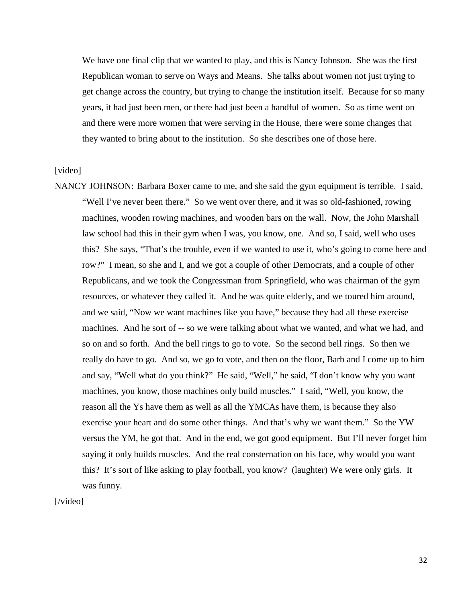We have one final clip that we wanted to play, and this is Nancy Johnson. She was the first Republican woman to serve on Ways and Means. She talks about women not just trying to get change across the country, but trying to change the institution itself. Because for so many years, it had just been men, or there had just been a handful of women. So as time went on and there were more women that were serving in the House, there were some changes that they wanted to bring about to the institution. So she describes one of those here.

## [video]

NANCY JOHNSON: Barbara Boxer came to me, and she said the gym equipment is terrible. I said, "Well I've never been there." So we went over there, and it was so old-fashioned, rowing machines, wooden rowing machines, and wooden bars on the wall. Now, the John Marshall law school had this in their gym when I was, you know, one. And so, I said, well who uses this? She says, "That's the trouble, even if we wanted to use it, who's going to come here and row?" I mean, so she and I, and we got a couple of other Democrats, and a couple of other Republicans, and we took the Congressman from Springfield, who was chairman of the gym resources, or whatever they called it. And he was quite elderly, and we toured him around, and we said, "Now we want machines like you have," because they had all these exercise machines. And he sort of -- so we were talking about what we wanted, and what we had, and so on and so forth. And the bell rings to go to vote. So the second bell rings. So then we really do have to go. And so, we go to vote, and then on the floor, Barb and I come up to him and say, "Well what do you think?" He said, "Well," he said, "I don't know why you want machines, you know, those machines only build muscles." I said, "Well, you know, the reason all the Ys have them as well as all the YMCAs have them, is because they also exercise your heart and do some other things. And that's why we want them." So the YW versus the YM, he got that. And in the end, we got good equipment. But I'll never forget him saying it only builds muscles. And the real consternation on his face, why would you want this? It's sort of like asking to play football, you know? (laughter) We were only girls. It was funny.

[/video]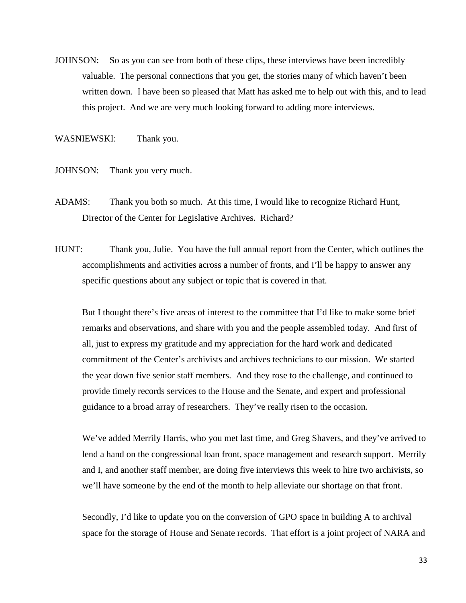JOHNSON: So as you can see from both of these clips, these interviews have been incredibly valuable. The personal connections that you get, the stories many of which haven't been written down. I have been so pleased that Matt has asked me to help out with this, and to lead this project. And we are very much looking forward to adding more interviews.

WASNIEWSKI: Thank you.

JOHNSON: Thank you very much.

- ADAMS: Thank you both so much. At this time, I would like to recognize Richard Hunt, Director of the Center for Legislative Archives. Richard?
- HUNT: Thank you, Julie. You have the full annual report from the Center, which outlines the accomplishments and activities across a number of fronts, and I'll be happy to answer any specific questions about any subject or topic that is covered in that.

 But I thought there's five areas of interest to the committee that I'd like to make some brief remarks and observations, and share with you and the people assembled today. And first of all, just to express my gratitude and my appreciation for the hard work and dedicated commitment of the Center's archivists and archives technicians to our mission. We started the year down five senior staff members. And they rose to the challenge, and continued to provide timely records services to the House and the Senate, and expert and professional guidance to a broad array of researchers. They've really risen to the occasion.

 We've added Merrily Harris, who you met last time, and Greg Shavers, and they've arrived to lend a hand on the congressional loan front, space management and research support. Merrily and I, and another staff member, are doing five interviews this week to hire two archivists, so we'll have someone by the end of the month to help alleviate our shortage on that front.

 Secondly, I'd like to update you on the conversion of GPO space in building A to archival space for the storage of House and Senate records. That effort is a joint project of NARA and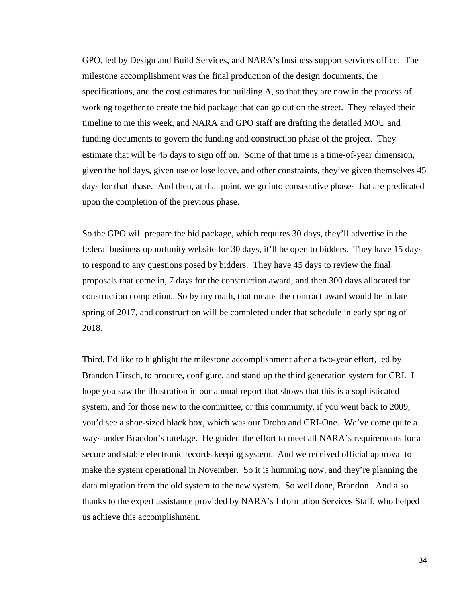GPO, led by Design and Build Services, and NARA's business support services office. The milestone accomplishment was the final production of the design documents, the specifications, and the cost estimates for building A, so that they are now in the process of working together to create the bid package that can go out on the street. They relayed their timeline to me this week, and NARA and GPO staff are drafting the detailed MOU and funding documents to govern the funding and construction phase of the project. They estimate that will be 45 days to sign off on. Some of that time is a time-of-year dimension, given the holidays, given use or lose leave, and other constraints, they've given themselves 45 days for that phase. And then, at that point, we go into consecutive phases that are predicated upon the completion of the previous phase.

 So the GPO will prepare the bid package, which requires 30 days, they'll advertise in the federal business opportunity website for 30 days, it'll be open to bidders. They have 15 days to respond to any questions posed by bidders. They have 45 days to review the final proposals that come in, 7 days for the construction award, and then 300 days allocated for construction completion. So by my math, that means the contract award would be in late spring of 2017, and construction will be completed under that schedule in early spring of 2018.

 Third, I'd like to highlight the milestone accomplishment after a two-year effort, led by Brandon Hirsch, to procure, configure, and stand up the third generation system for CRI. I hope you saw the illustration in our annual report that shows that this is a sophisticated system, and for those new to the committee, or this community, if you went back to 2009, you'd see a shoe-sized black box, which was our Drobo and CRI-One. We've come quite a ways under Brandon's tutelage. He guided the effort to meet all NARA's requirements for a secure and stable electronic records keeping system. And we received official approval to make the system operational in November. So it is humming now, and they're planning the data migration from the old system to the new system. So well done, Brandon. And also thanks to the expert assistance provided by NARA's Information Services Staff, who helped us achieve this accomplishment.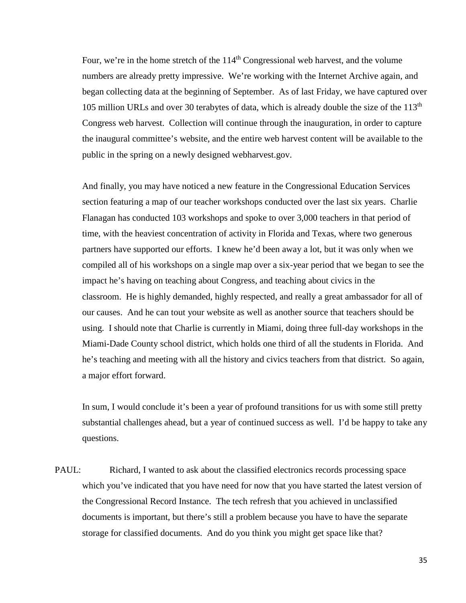Four, we're in the home stretch of the  $114<sup>th</sup>$  Congressional web harvest, and the volume numbers are already pretty impressive. We're working with the Internet Archive again, and began collecting data at the beginning of September. As of last Friday, we have captured over 105 million URLs and over 30 terabytes of data, which is already double the size of the  $113<sup>th</sup>$ Congress web harvest. Collection will continue through the inauguration, in order to capture the inaugural committee's website, and the entire web harvest content will be available to the public in the spring on a newly designed webharvest.gov.

 And finally, you may have noticed a new feature in the Congressional Education Services section featuring a map of our teacher workshops conducted over the last six years. Charlie Flanagan has conducted 103 workshops and spoke to over 3,000 teachers in that period of time, with the heaviest concentration of activity in Florida and Texas, where two generous partners have supported our efforts. I knew he'd been away a lot, but it was only when we compiled all of his workshops on a single map over a six-year period that we began to see the impact he's having on teaching about Congress, and teaching about civics in the classroom. He is highly demanded, highly respected, and really a great ambassador for all of our causes. And he can tout your website as well as another source that teachers should be using. I should note that Charlie is currently in Miami, doing three full-day workshops in the Miami-Dade County school district, which holds one third of all the students in Florida. And he's teaching and meeting with all the history and civics teachers from that district. So again, a major effort forward.

 In sum, I would conclude it's been a year of profound transitions for us with some still pretty substantial challenges ahead, but a year of continued success as well. I'd be happy to take any questions.

PAUL: Richard, I wanted to ask about the classified electronics records processing space which you've indicated that you have need for now that you have started the latest version of the Congressional Record Instance. The tech refresh that you achieved in unclassified documents is important, but there's still a problem because you have to have the separate storage for classified documents. And do you think you might get space like that?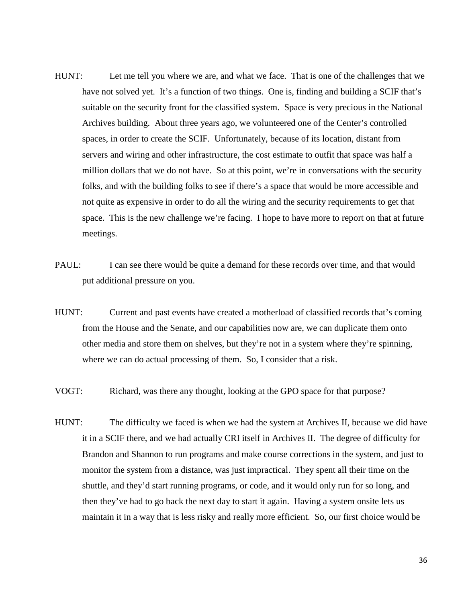- HUNT: Let me tell you where we are, and what we face. That is one of the challenges that we have not solved yet. It's a function of two things. One is, finding and building a SCIF that's suitable on the security front for the classified system. Space is very precious in the National Archives building. About three years ago, we volunteered one of the Center's controlled spaces, in order to create the SCIF. Unfortunately, because of its location, distant from servers and wiring and other infrastructure, the cost estimate to outfit that space was half a million dollars that we do not have. So at this point, we're in conversations with the security folks, and with the building folks to see if there's a space that would be more accessible and not quite as expensive in order to do all the wiring and the security requirements to get that space. This is the new challenge we're facing. I hope to have more to report on that at future meetings.
- PAUL: I can see there would be quite a demand for these records over time, and that would put additional pressure on you.
- HUNT: Current and past events have created a motherload of classified records that's coming from the House and the Senate, and our capabilities now are, we can duplicate them onto other media and store them on shelves, but they're not in a system where they're spinning, where we can do actual processing of them. So, I consider that a risk.
- VOGT: Richard, was there any thought, looking at the GPO space for that purpose?
- HUNT: The difficulty we faced is when we had the system at Archives II, because we did have it in a SCIF there, and we had actually CRI itself in Archives II. The degree of difficulty for Brandon and Shannon to run programs and make course corrections in the system, and just to monitor the system from a distance, was just impractical. They spent all their time on the shuttle, and they'd start running programs, or code, and it would only run for so long, and then they've had to go back the next day to start it again. Having a system onsite lets us maintain it in a way that is less risky and really more efficient. So, our first choice would be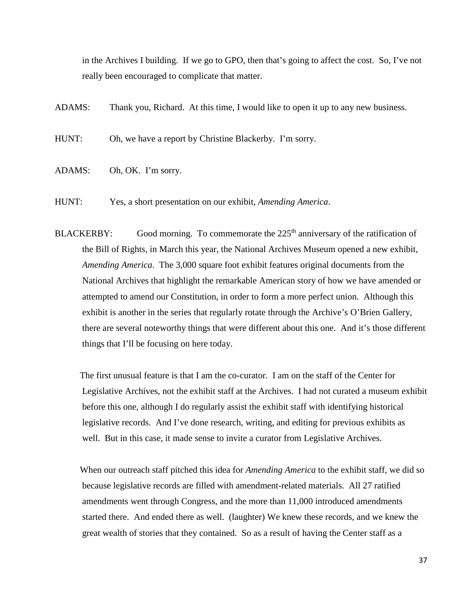in the Archives I building. If we go to GPO, then that's going to affect the cost. So, I've not really been encouraged to complicate that matter.

ADAMS: Thank you, Richard. At this time, I would like to open it up to any new business.

HUNT: Oh, we have a report by Christine Blackerby. I'm sorry.

ADAMS: Oh, OK. I'm sorry.

HUNT: Yes, a short presentation on our exhibit, *Amending America*.

BLACKERBY: Good morning. To commemorate the  $225<sup>th</sup>$  anniversary of the ratification of the Bill of Rights, in March this year, the National Archives Museum opened a new exhibit, *Amending America*. The 3,000 square foot exhibit features original documents from the National Archives that highlight the remarkable American story of how we have amended or attempted to amend our Constitution, in order to form a more perfect union. Although this exhibit is another in the series that regularly rotate through the Archive's O'Brien Gallery, there are several noteworthy things that were different about this one. And it's those different things that I'll be focusing on here today.

 The first unusual feature is that I am the co-curator. I am on the staff of the Center for Legislative Archives, not the exhibit staff at the Archives. I had not curated a museum exhibit before this one, although I do regularly assist the exhibit staff with identifying historical legislative records. And I've done research, writing, and editing for previous exhibits as well. But in this case, it made sense to invite a curator from Legislative Archives.

 When our outreach staff pitched this idea for *Amending America* to the exhibit staff, we did so because legislative records are filled with amendment-related materials. All 27 ratified amendments went through Congress, and the more than 11,000 introduced amendments started there. And ended there as well. (laughter) We knew these records, and we knew the great wealth of stories that they contained. So as a result of having the Center staff as a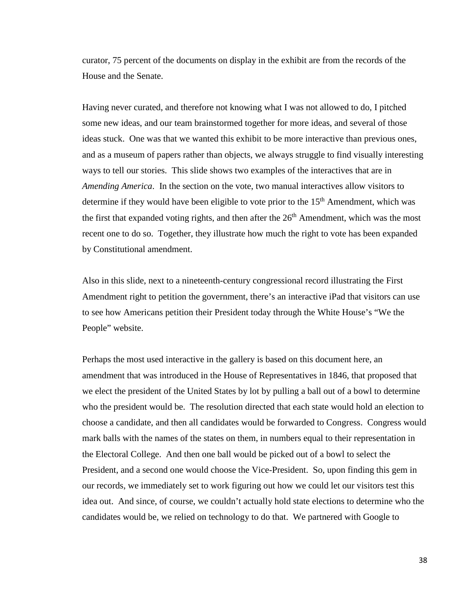curator, 75 percent of the documents on display in the exhibit are from the records of the House and the Senate.

 Having never curated, and therefore not knowing what I was not allowed to do, I pitched some new ideas, and our team brainstormed together for more ideas, and several of those ideas stuck. One was that we wanted this exhibit to be more interactive than previous ones, and as a museum of papers rather than objects, we always struggle to find visually interesting ways to tell our stories. This slide shows two examples of the interactives that are in *Amending America*. In the section on the vote, two manual interactives allow visitors to determine if they would have been eligible to vote prior to the 15<sup>th</sup> Amendment, which was the first that expanded voting rights, and then after the  $26<sup>th</sup>$  Amendment, which was the most recent one to do so. Together, they illustrate how much the right to vote has been expanded by Constitutional amendment.

 Also in this slide, next to a nineteenth-century congressional record illustrating the First Amendment right to petition the government, there's an interactive iPad that visitors can use to see how Americans petition their President today through the White House's "We the People" website.

 Perhaps the most used interactive in the gallery is based on this document here, an amendment that was introduced in the House of Representatives in 1846, that proposed that we elect the president of the United States by lot by pulling a ball out of a bowl to determine who the president would be. The resolution directed that each state would hold an election to choose a candidate, and then all candidates would be forwarded to Congress. Congress would mark balls with the names of the states on them, in numbers equal to their representation in the Electoral College. And then one ball would be picked out of a bowl to select the President, and a second one would choose the Vice-President. So, upon finding this gem in our records, we immediately set to work figuring out how we could let our visitors test this idea out. And since, of course, we couldn't actually hold state elections to determine who the candidates would be, we relied on technology to do that. We partnered with Google to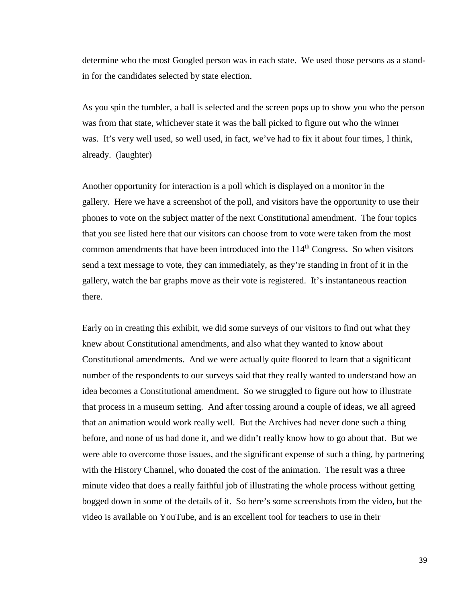determine who the most Googled person was in each state. We used those persons as a standin for the candidates selected by state election.

 As you spin the tumbler, a ball is selected and the screen pops up to show you who the person was from that state, whichever state it was the ball picked to figure out who the winner was. It's very well used, so well used, in fact, we've had to fix it about four times, I think, already. (laughter)

 Another opportunity for interaction is a poll which is displayed on a monitor in the gallery. Here we have a screenshot of the poll, and visitors have the opportunity to use their phones to vote on the subject matter of the next Constitutional amendment. The four topics that you see listed here that our visitors can choose from to vote were taken from the most common amendments that have been introduced into the  $114<sup>th</sup>$  Congress. So when visitors send a text message to vote, they can immediately, as they're standing in front of it in the gallery, watch the bar graphs move as their vote is registered. It's instantaneous reaction there.

 Early on in creating this exhibit, we did some surveys of our visitors to find out what they knew about Constitutional amendments, and also what they wanted to know about Constitutional amendments. And we were actually quite floored to learn that a significant number of the respondents to our surveys said that they really wanted to understand how an idea becomes a Constitutional amendment. So we struggled to figure out how to illustrate that process in a museum setting. And after tossing around a couple of ideas, we all agreed that an animation would work really well. But the Archives had never done such a thing before, and none of us had done it, and we didn't really know how to go about that. But we were able to overcome those issues, and the significant expense of such a thing, by partnering with the History Channel, who donated the cost of the animation. The result was a three minute video that does a really faithful job of illustrating the whole process without getting bogged down in some of the details of it. So here's some screenshots from the video, but the video is available on YouTube, and is an excellent tool for teachers to use in their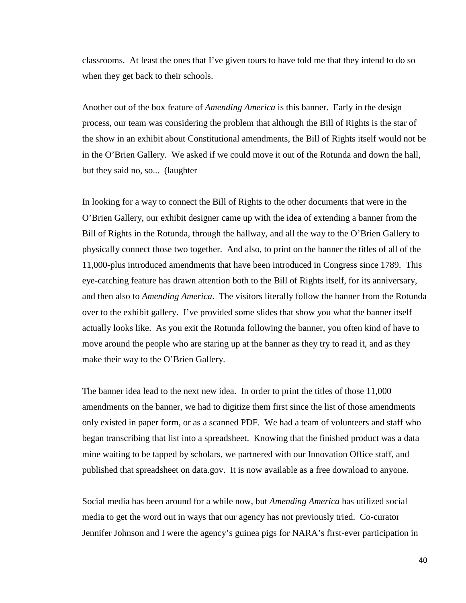classrooms. At least the ones that I've given tours to have told me that they intend to do so when they get back to their schools.

 Another out of the box feature of *Amending America* is this banner. Early in the design process, our team was considering the problem that although the Bill of Rights is the star of the show in an exhibit about Constitutional amendments, the Bill of Rights itself would not be in the O'Brien Gallery. We asked if we could move it out of the Rotunda and down the hall, but they said no, so... (laughter

 In looking for a way to connect the Bill of Rights to the other documents that were in the O'Brien Gallery, our exhibit designer came up with the idea of extending a banner from the Bill of Rights in the Rotunda, through the hallway, and all the way to the O'Brien Gallery to physically connect those two together. And also, to print on the banner the titles of all of the 11,000-plus introduced amendments that have been introduced in Congress since 1789. This eye-catching feature has drawn attention both to the Bill of Rights itself, for its anniversary, and then also to *Amending America*. The visitors literally follow the banner from the Rotunda over to the exhibit gallery. I've provided some slides that show you what the banner itself actually looks like. As you exit the Rotunda following the banner, you often kind of have to move around the people who are staring up at the banner as they try to read it, and as they make their way to the O'Brien Gallery.

 The banner idea lead to the next new idea. In order to print the titles of those 11,000 amendments on the banner, we had to digitize them first since the list of those amendments only existed in paper form, or as a scanned PDF. We had a team of volunteers and staff who began transcribing that list into a spreadsheet. Knowing that the finished product was a data mine waiting to be tapped by scholars, we partnered with our Innovation Office staff, and published that spreadsheet on data.gov. It is now available as a free download to anyone.

 Social media has been around for a while now, but *Amending America* has utilized social media to get the word out in ways that our agency has not previously tried. Co-curator Jennifer Johnson and I were the agency's guinea pigs for NARA's first-ever participation in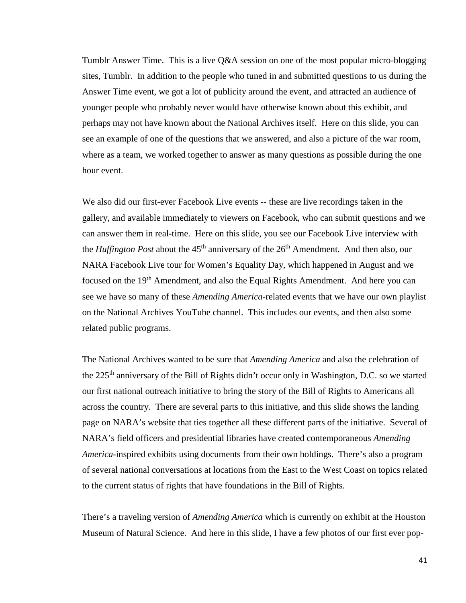Tumblr Answer Time. This is a live Q&A session on one of the most popular micro-blogging sites, Tumblr. In addition to the people who tuned in and submitted questions to us during the Answer Time event, we got a lot of publicity around the event, and attracted an audience of younger people who probably never would have otherwise known about this exhibit, and perhaps may not have known about the National Archives itself. Here on this slide, you can see an example of one of the questions that we answered, and also a picture of the war room, where as a team, we worked together to answer as many questions as possible during the one hour event.

 We also did our first-ever Facebook Live events -- these are live recordings taken in the gallery, and available immediately to viewers on Facebook, who can submit questions and we can answer them in real-time. Here on this slide, you see our Facebook Live interview with the *Huffington Post* about the  $45<sup>th</sup>$  anniversary of the  $26<sup>th</sup>$  Amendment. And then also, our NARA Facebook Live tour for Women's Equality Day, which happened in August and we focused on the 19<sup>th</sup> Amendment, and also the Equal Rights Amendment. And here you can see we have so many of these *Amending America*-related events that we have our own playlist on the National Archives YouTube channel. This includes our events, and then also some related public programs.

 The National Archives wanted to be sure that *Amending America* and also the celebration of the 225<sup>th</sup> anniversary of the Bill of Rights didn't occur only in Washington, D.C. so we started our first national outreach initiative to bring the story of the Bill of Rights to Americans all across the country. There are several parts to this initiative, and this slide shows the landing page on NARA's website that ties together all these different parts of the initiative. Several of NARA's field officers and presidential libraries have created contemporaneous *Amending America*-inspired exhibits using documents from their own holdings. There's also a program of several national conversations at locations from the East to the West Coast on topics related to the current status of rights that have foundations in the Bill of Rights.

 There's a traveling version of *Amending America* which is currently on exhibit at the Houston Museum of Natural Science. And here in this slide, I have a few photos of our first ever pop